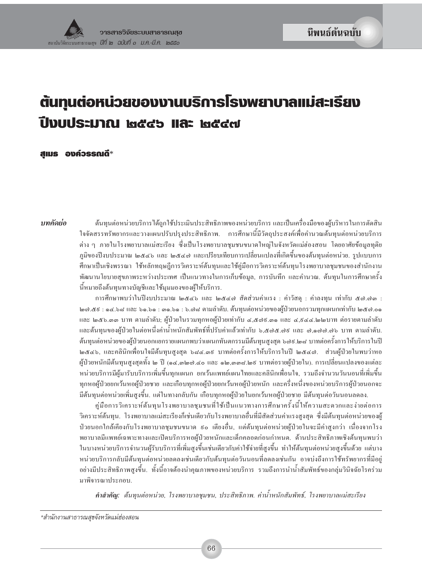# ต้นทุนต่อหน่วยของงานบริการโรงพยาบาลแม่สะเรียง ปีงบประมาณ ๒๕๔๖ และ ๒๕๔๗

สแมธ องค์วรรณดี $\ast$ 

าเทคัดย่อ

ด้นทนต่อหน่วยบริการได้ถกใช้ประเมินประสิทธิภาพของหน่วยบริการ และเป็นเครื่องมือของผ้บริหารในการตัดสิน ใจจัดสรรทรัพยากรและวางแผนปรับปรุงประสิทธิภาพ. การศึกษานี้มีวัตถุประสงค์เพื่อคำนวณต้นทุนต่อหน่วยบริการ ต่าง ๆ ภายในโรงพยาบาลแม่สะเรียง ซึ่งเป็นโรงพยาบาลชุมชนขนาดใหญ่ในจังหวัดแม่ฮ่องสอน โดยอาศัยข้อมูลทุติย ภมิของปีงบประมาณ ๒๕๔๖ และ ๒๕๔๗ และเปรียบเทียบการเปลี่ยนแปลงที่เกิดขึ้นของต้นทนต่อหน่วย. รปแบบการ ้ศึกษาเป็นเชิงพรรณา ใช้หลักทฤษฎีการวิเคราะห์ต้นทุนและใช้คู่มือการวิเคราะห์ต้นทุนโรงพยาบาลชุมชนของสำนักงาน พัฒนานโยบายสขภาพระหว่างประเทศ เป็นแนวทางในการเก็บข้อมล. การบันทึก และคำนวณ. ต้นทนในการศึกษาครั้ง นี้หมายถึงต้นทุนทางบัญชีและใช้มุมมองของผู้ให้บริการ.

การศึกษาพบว่าในปีงบประมาณ ๒๕๔๖ และ ๒๕๔๗ สัดส่วนค่าแรง : ค่าวัสดุ : ค่าลงทุน เท่ากับ ๕๗.๗๓ : l๒๗.๕ธ : ๑๔.๖๘ และ ๖๑.๖๑ : ๑๑.๖๑ : ๖.๗๘ ตามลำดับ. ต้นทนต่อหน่วยของผ้ป่วยนอกรวมทกแผนกเท่ากับ ๒๕๗.๐๑ และ ๒๕๖.๑๑ บาท ตามลำดับ: ผ้ป่วยในรวมทกหอผ้ป่วยเท่ากับ ๔.๕๑ธ.๑๑ และ ๔.ธ๔๔.๒๒บาท ต่อรายตามลำดับ และต้นทุนของผู้ป่วยในต่อหนึ่งค่าน้ำหนักสัมพัทธ์ที่ปรับค่าแล้วเท่ากับ ๖,๕๗๕.๗៩ และ ๗,๑๗๗.๗๖ บาท ตามลำดับ. ต้นทุนต่อหน่วยของผู้ป่วยนอกแยกรายแผนกพบว่าแผนกทันตกรรมมีต้นทุนสูงสุด ๖๗៩.๒๘ บาทต่อครั้งการให้บริการในปี ๒๕๔๖, และคลินิกเพื่อนใจมีต้นทุนสูงสุด ๖๘๔.๓៩ บาทต่อครั้งการให้บริการในปี ๒๕๔๗. ส่วนผู้ป่วยในพบว่าหอ ผู้ป่วยหนักมีต้นทุนสูงสุดทั้ง ๒ ปี (๑๔,๑๒๗.๔๐ และ ๑๒,๑๑๘.๒៩ บาทต่อรายผู้ป่วยใน). การเปลี่ยนแปลงของแต่ละ หน่วยบริการมีผู้มารับบริการเพิ่มขึ้นทุกแผนก ยกเว้นแพทย์แผนไทยและคลินิกเพื่อนใจ, รวมถึงจำนวนวันนอนที่เพิ่มขึ้น ทกหอผ้ป่วยยกเว้นหอผ้ป่วยชาย และเกือบทกหอผ้ป่วยยกเว้นหอผ้ป่วยหนัก และครึ่งหนึ่งของหน่วยบริการผ้ป่วยนอกจะ มีต้นทุนต่อหน่วยเพิ่มสูงขึ้น. แต่ในทางกลับกัน เกือบทุกหอผู้ป่วยในยกเว้นหอผู้ป่วยชาย มีต้นทุนต่อวันนอนลดลง.

คู่มือการวิเคราะห์ต้นทุนโรงพยาบาลชุมชนที่ใช้เป็นแนวทางการศึกษาครั้งนี้ให้ความสะดวกและง่ายต่อการ วิเคราะห์ต้นทน. โรงพยาบาลแม่สะเรียงก็เช่นเดียวกับโรงพยาบาลอื่นที่มีสัดส่วนค่าแรงสงสด ซึ่งมีต้นทนต่อหน่วยของผ้ ป่วยนอกใกล้เคียงกับโรงพยาบาลชุมชนขนาด ៩๐ เตียงอื่น, แต่ต้นทุนต่อหน่วยผู้ป่วยในจะมีค่าสูงกว่า เนื่องจากโรง พยาบาลมีแพทย์เฉพาะทางและเปิดบริการหอผู้ป่วยหนักและเด็กคลอดก่อนกำหนด. ด้านประสิทธิภาพเชิงต้นทุนพบว่า ในบางหน่วยบริการจำนวนผู้รับบริการที่เพิ่มสูงขึ้นเช่นเดียวกับค่าใช้จ่ายที่สูงขึ้น ทำให้ต้นทุนต่อหน่วยสูงขึ้นด้วย แต่บาง หน่วยบริการกลับมีต้นทุนต่อหน่วยลดลงเช่นเดียวกับต้นทุนต่อวันนอนที่ลดลงเช่นกัน อาจบ่งถึงการใช้ทรัพยากรที่มีอยู่ ้อย่างมีประสิทธิภาพสูงขึ้น. ทั้งนี้อาจต้องนำคุณภาพของหน่วยบริการ รวมถึงการนำน้ำสัมพัทธ์ของกลุ่มวินิจฉัยโรคร่วม มาพิจารณาประกอบ.

คำสำคัญ: ต้นทุนต่อหน่วย, โรงพยาบาลชุมชน, ประสิทธิภาพ. ค่าน้ำหนักสัมพัทธ์, โรงพยาบาลแม่สะเรียง

\*สำนักงานสาธารณสุขจังหวัดแม่ฮ่องสอน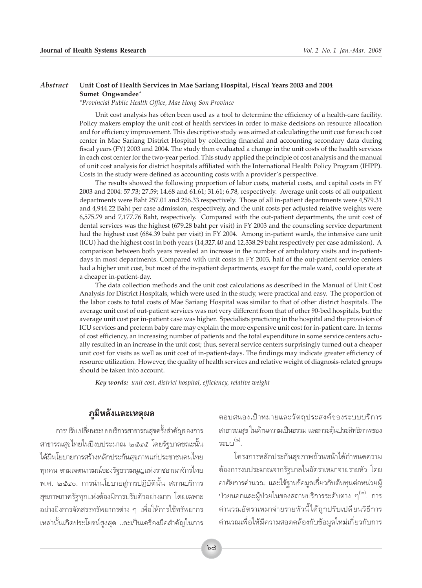#### *Abstract* **Unit Cost of Health Services in Mae Sariang Hospital, Fiscal Years 2003 and 2004 Sumet Ongwandee\***

*\*Provincial Public Health Office, Mae Hong Son Province*

Unit cost analysis has often been used as a tool to determine the efficiency of a health-care facility. Policy makers employ the unit cost of health services in order to make decisions on resource allocation and for efficiency improvement. This descriptive study was aimed at calculating the unit cost for each cost center in Mae Sariang District Hospital by collecting financial and accounting secondary data during fiscal years (FY) 2003 and 2004. The study then evaluated a change in the unit costs of the health services in each cost center for the two-year period. This study applied the principle of cost analysis and the manual of unit cost analysis for district hospitals affiliated with the International Health Policy Program (IHPP). Costs in the study were defined as accounting costs with a provider's perspective.

The results showed the following proportion of labor costs, material costs, and capital costs in FY 2003 and 2004: 57.73; 27.59; 14.68 and 61.61; 31.61; 6.78, respectively. Average unit costs of all outpatient departments were Baht 257.01 and 256.33 respectively. Those of all in-patient departments were 4,579.31 and 4,944.22 Baht per case admission, respectively, and the unit costs per adjusted relative weights were 6,575.79 and 7,177.76 Baht, respectively. Compared with the out-patient departments, the unit cost of dental services was the highest (679.28 baht per visit) in FY 2003 and the counseling service department had the highest cost (684.39 baht per visit) in FY 2004. Among in-patient wards, the intensive care unit (ICU) had the highest cost in both years (14,327.40 and 12,338.29 baht respectively per case admission). A comparison between both years revealed an increase in the number of ambulatory visits and in-patientdays in most departments. Compared with unit costs in FY 2003, half of the out-patient service centers had a higher unit cost, but most of the in-patient departments, except for the male ward, could operate at a cheaper in-patient-day.

The data collection methods and the unit cost calculations as described in the Manual of Unit Cost Analysis for District Hospitals, which were used in the study, were practical and easy. The proportion of the labor costs to total costs of Mae Sariang Hospital was similar to that of other district hospitals. The average unit cost of out-patient services was not very different from that of other 90-bed hospitals, but the average unit cost per in-patient case was higher. Specialists practicing in the hospital and the provision of ICU services and preterm baby care may explain the more expensive unit cost for in-patient care. In terms of cost efficiency, an increasing number of patients and the total expenditure in some service centers actually resulted in an increase in the unit cost; thus, several service centers surprisingly turned out a cheaper unit cost for visits as well as unit cost of in-patient-days. The findings may indicate greater efficiency of resource utilization. However, the quality of health services and relative weight of diagnosis-related groups should be taken into account.

*Key words: unit cost, district hospital, efficiency, relative weight*

## $\overline{\mathfrak{g}}$ มิหลังและเหตุผล

ำกรปรับเปลี่ยนระบบบริการสาธารณสุขครั้งสำคัญของการ สาธารณสุขไทยในปีงบประมาณ ๒๕๔๕ โดยรัฐบาลขณะนั้น ู้ได้มีนโยบายการสร้างหลักประกันสุขภาพแก่ประชาชนคนไทย  $\eta$ กคน ตามเจตนารมณ์ของรัฐธรรมนูญแห่งราชอาณาจักรไทย พ.ศ. ๒๕๔๐. การนำนโยบายสู่การปฏิบัตินั้น สถานบริการ สุขภาพภาครัฐทุกแห่งต้องมีการปรับตัวอย่างมาก โดยเฉพาะ อย่างยิ่งการจัดสรรทรัพยากรต่าง ๆ เพื่อให้การใช้ทรัพยากร ้เหล่านั้นเกิดประโยชน์สูงสุด และเป็นเครื่องมือสำคัญในการ ตอบสนองเป้าหมายและวัตถุประสงค์ของระบบบริการ สาธารณสุข ในด้านความเป็นธรรม และกระตุ้นประสิทธิภาพของ  $\mathfrak{z}$ ະນນ $^{(\circ)}$ 

์ โครงการหลักประกันสขภาพถ้วนหน้าได้กำหนดความ ต้องการงบประมาณจากรัฐบาลในอัตราเหมาจ่ายรายหัว โดย อาศัยการคำนวณ และใช้ฐานข้อมูลเกี่ยวกับต้นทุนต่อหน่วยผู้ ึ ป่วยนอกและผ้ป่วยในของสถานบริการระดับต่าง ๆ<sup>(๒)</sup>. การ คำนวณอัตราเหมาจ่ายรายหัวนี้ได้ถูกปรับเปลี่ยนวิธีการ ึ คำนวณเพื่อให้มีความสอดคล้องกับข้อมูลใหม่เกี่ยวกับการ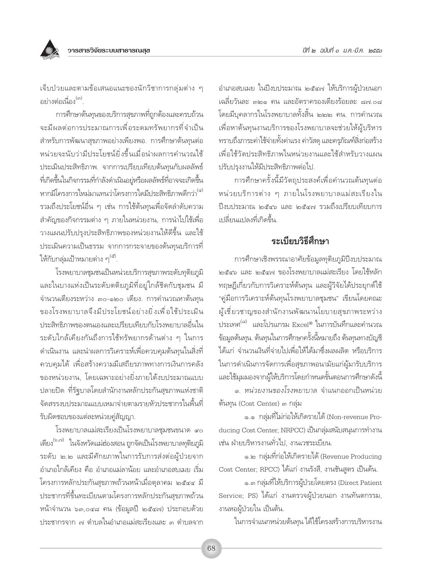เจ็บป่วยและตามข้อเสนอแนะของนักวิชาการกลุ่มต่าง ๆ ้อย่างต่อเนื่อง<sup>(๓)</sup>

การศึกษาต้นทุนของบริการสุขภาพที่ถูกต้องและครบถ้วน จะมีผลต่อการประมาณการเพื่อระดมทรัพยากรที่จำเป็น สำหรับการพัฒนาสุขภาพอย่างเพียงพอ. การศึกษาต้นทุนต่อ หน่วยจะนับว่ามีประโยชน์ยิ่งขึ้นเมื่อนำผลการคำนวณใช้ ประเมินประสิทธิภาพ. จากการเปรียบเทียบต้นทนกับผลลัพธ์ ู้ที่เกิดขึ้นในกิจกรรมที่กำลังดำเนินอยู่หรือผลลัพธ์ที่อาจจะเกิดขึ้น หากมีโครงการใหม่มาแทนว่าโครงการใดมีประสิทธิภาพดีกว่า<sup>(๔)</sup> รวมถึงประโยชน์อื่น ๆ เช่น การใช้ต้นทุนเพื่อจัดลำดับความ ้สำคัญของกิจกรรมต่าง ๆ ภายในหน่วยงาน, การนำไปใช้เพื่อ วางแผนปรับปรงประสิทธิภาพของหน่วยงานให้ดีขึ้น และใช้ ประเมินความเป็นธรรม จากการกระจายของต้นทุนบริการที่ ให้กับกลุ่มเป้าหมายต่าง ๆ<sup>(๕)</sup>.

โรงพยาบาลชุมชนเป็นหน่วยบริการสุขภาพระดับทุติยภูมิ และในบางแห่งเป็นระดับตติยภูมิที่อยู่ใกล้ชิดกับชุมชน มี จำนวนเตียงระหว่าง ๓๐-๑๒๐ เตี้ยง. การคำนวณหาต้นทุน ของโรงพยาบาลจึงมีประโยชน์อย่างยิ่งเพื่อใช้ประเมิน ประสิทธิภาพของตนเองและเปรียบเทียบกับโรงพยาบาลอื่นใน ระดับใกล้เคียงกันถึงการใช้ทรัพยากรด้านต่าง ๆ ในการ ้ดำเนินงาน และนำผลการวิเคราะห์เพื่อควบคุมต้นทุนในสิ่งที่ ้ควบคุมได้ เพื่อสร้างความมีเสถียรภาพทางการเงินการคลัง ของหน่วยงาน, โดยเฉพาะอย่างยิ่งภายใต้งบประมาณแบบ ปลายปิด ที่รัฐบาลโดยสำนักงานหลักประกันสุขภาพแห่งชาติ จัดสรรงบประมาณแบบเหมาจ่ายตามรายหัวประชากรในพื้นที่ รับผิดชอบของแต่ละหน่วยคู่สัญญา.

โรงพยาบาลแม่สะเรียงเป็นโรงพยาบาลชุมชนขนาด ๙๐ เตียง<sup>(๖,๗)</sup> ในจังหวัดแม่ฮ่องสอน ถูกจัดเป็นโรงพยาบาลทุติยภูมิ ระดับ ๒.๒ และมีศักยภาพในการรับการส่งต่อผู้ป่วยจาก อำเภอใกล้เคียง คือ อำเภอแม่ลาน้อย และอำเภอสบเมย เริ่ม โครงการหลักประกันสุขภาพถ้วนหน้าเมื่อตุลาคม ๒๕๔๔ มี ประชากรที่ขึ้นทะเบียนตามโครงการหลักประกันสุขภาพถ้วน หน้าจำนวน ๖๓,๐๔๘ คน (ข้อมูลปี ๒๕๔๗) ประกอบด้วย ประชากรจาก ๗ ตำบลในอำเภอแม่สะเรียงและ ๓ ตำบลจาก

อำเภอสบเมย ในปีงบประมาณ ๒๕๔๗ ให้บริการผู้ป่วยนอก เฉลี่ยวันละ ๓๒๑ คน และอัตราครองเตียงร้อยละ ๘๗.๐๘ โดยมีบคลากรในโรงพยาบาลทั้งสิ้น ๒๒๒ คน. การคำนวณ เพื่อหาต้นทุนงานบริการของโรงพยาบาลจะช่วยให้ผู้บริหาร ทราบถึงภาระค่าใช้จ่ายทั้งค่าแรง ค่าวัสดุ และครภัณฑ์สิ่งก่อสร้าง เพื่อใช้วัดประสิทธิภาพในหน่วยงานและใช้สำหรับวางแผน ปรับปรงงานให้มีประสิทธิภาพต่อไป

การศึกษาครั้งนี้มีวัตถุประสงค์เพื่อคำนวณต้นทุนต่อ หน่วยบริการต่าง ๆ ภายในโรงพยาบาลแม่สะเรียงใน ปี่งบประมาณ ๒๕๔๖ และ ๒๕๔๗ รวมถึงเปรียบเทียบการ เปลี่ยนแปลงที่เกิดขึ้น.

## ระเบียบวิธีสึกษา

การศึกษาเชิงพรรณาอาศัยข้อมูลทุติยภูมิปีงบประมาณ ๒๕๔๖ และ ๒๕๔๗ ของโรงพยาบาลแม่สะเรียง โดยใช้หลัก ทฤษฎีเกี่ยวกับการวิเคราะห์ต้นทุน และผู้วิจัยได้ประยุกต์ใช้ "คู่มือการวิเคราะห์ต้นทุนโรงพยาบาลชุมชน" เขียนโดยคณะ ผู้เชี่ยวชาญของสำนักงานพัฒนานโยบายสุขภาพระหว่าง ประเทศ<sup>(๘)</sup> และโปรแกรม Excel® ในการบันทึกและคำนวณ ข้อมลต้นทน. ต้นทนในการศึกษาครั้งนี้หมายถึง ต้นทนทางบัณชี ได้แก่ จำนวนเงินที่จ่ายไปเพื่อให้ได้มาซึ่งผลผลิต หรือบริการ ในการดำเนินการจัดการเพื่อสุขภาพอนามัยแก่ผู้มารับบริการ และใช้มุมมองจากผู้ให้บริการโดยกำหนดขั้นตอนการศึกษาดังนี้

ุ<br>๑ หน่วยงานของโรงพยาบาล จำแนกออกเป็นหน่วย ต้นทุน (Cost Center) ๓ กลุ่ม

๑.๑ กลุ่มที่ไม่ก่อให้เกิดรายได้ (Non-revenue Producing Cost Center; NRPCC) เป็นกลุ่มสนับสนุนการทำงาน เช่น ฝ่ายบริหารงานทั่วไป. งานเวชระเบียน.

๑.๒ กลุ่มที่ก่อให้เกิดรายได้ (Revenue Producing Cost Center; RPCC) ได้แก่ งานรังสี, งานชันสูตร เป็นต้น.

๑.๓ กลุ่มที่ให้บริการผู้ป่วยโดยตรง (Direct Patient Service; PS) ได้แก่ งานตรวจผู้ป่วยนอก งานทันตกรรม, งานหอผู้ป่วยใน เป็นต้น.

ในการจำแนกหน่วยต้นทุน ได้ใช้โครงสร้างการบริหารงาน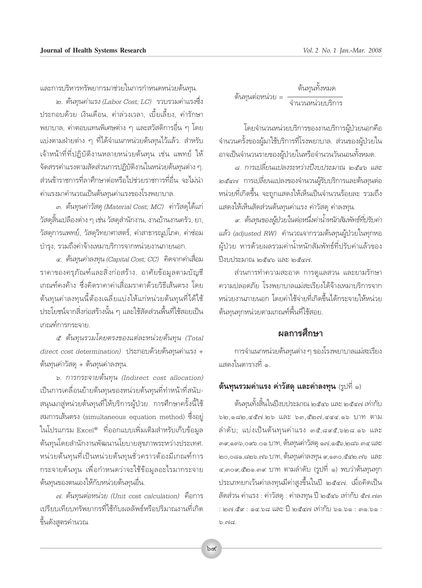และการบริหารทรัพยากรมาช่วยในการกำหนดหน่วยต้นทน.

๒. ต้นทุนค่าแรง (Labor Cost; LC) รวบรวมค่าแรงซึ่ง ประกอบด้วย เงินเดือน, ค่าล่วงเวลา, เบี้ยเลี้ยง, ค่ารักษา ้พยาบาล, ค่าตอบแทนพิเศษต่าง ๆ และสวัสดิการอื่น ๆ โดย แบ่งตามฝ่ายต่าง ๆ ที่ได้จำแนกหน่วยต้นทุนไว้แล้ว. สำหรับ เจ้าหน้าที่ที่ปฏิบัติงานหลายหน่วยต้นทุน เช่น แพทย์ ให้ จัดสรรค่าแรงตามสัดส่วนการปฏิบัติงานในหน่วยต้นทุนต่าง ๆ. ส่วนข้าราชการที่ลาศึกษาต่อหรือไปช่วยราชการที่อื่น จะไม่นำ ค่าแรงมาคำนวณเป็นต้นทนค่าแรงของโรงพยาบาล.

๓. ต้นทุนค่าวัสดุ (Material Cost; MC) ค่าวัสดุได้แก่ วัสดุสิ้นเปลืองต่าง ๆ เช่น วัสดุสำนักงาน, งานบ้านงานครัว, ยา, วัสดุการแพทย์, วัสดุวิทยาศาสตร์, ค่าสาธารณูปโภค, ค่าซ่อม บำรุง, รวมถึงค่าจ้างเหมาบริการจากหน่วยงานภายนอก.

 $\epsilon$ . ต้นทุนค่าลงทุน (Capital Cost; CC) คิดจากค่าเสื่อม ราคาของครุภัณฑ์และสิ่งก่อสร้าง. อาศัยข้อมูลตามบัญชี เกณฑ์คงค้าง ซึ่งคิดราคาค่าเสื่อมราคาด้วยวิธีเส้นตรง โดย ต้นทุนค่าลงทุนนี้ต้องเฉลี่ยแบ่งให้แก่หน่วยต้นทุนที่ได้ใช้ ประโยชน์จากสิ่งก่อสร้างนั้น ๆ และใช้สัดส่วนพื้นที่ใช้สอยเป็น เกณฑ์การกระจาย.

ิ ๕. ต้นทุนรวมโดยตรงของแต่ละหน่วยต้นทุน (Total direct cost determination) ประกอบด้วยต้นทุนค่าแรง + ต้นทุนค่าวัสดุ + ต้นทุนค่าลงทุน.

๖. การกระจายต้นทุน (Indirect cost allocation) เป็นการเคลื่อนย้ายต้นทุนของหน่วยต้นทุนที่ทำหน้าที่สนับ-้สนุนมาสู่หน่วยต้นทุนที่ให้บริการผู้ป่วย. การศึกษาครั้งนี้ใช้ สมการเส้นตรง (simultaneous equation method) ซึ่งอยู่ ในโปรแกรม Excel® ที่ออกแบบเพิ่มเติมสำหรับเก็บข้อมูล ต้นทุนโดยสำนักงานพัฒนานโยบายสุขภาพระหว่างประเทศ. หน่วยต้นทุนที่เป็นหน่วยต้นทุนชั่วคราวต้องมีเกณฑ์การ กระจายต้นทุน เพื่อกำหนดว่าจะใช้ข้อมูลอะไรมากระจาย ต้นทุนของตนเองให้กับหน่วยต้นทุนอื่น.

๗. ต้นทุนต่อหน่วย (Unit cost calculation) คือการ เปรียบเทียบทรัพยากรที่ใช้กับผลลัพธ์หรือปริมาณงานที่เกิด ขึ้นดังสูตรคำนวณ

ต้นทนทั้งหมด ต้นทุนต่อหน่วย = ี่จำนวนหน่วยบริการ

โดยจำนวนหน่วยบริการของงานบริการผู้ป่วยนอกคือ ้จำนวนครั้งของผู้มาใช้บริการที่โรงพยาบาล. ส่วนของผู้ป่วยใน อาจเป็นจำนวนรายของผู้ป่วยในหรือจำนวนวันนอนทั้งหมด.

๘. การเปลี่ยนแปลงระหว่างปีงบประมาณ ๒๕๔๖ และ *๒๕๔๗* การเปลี่ยนแปลงของจำนวนผู้รับบริการและต้นทุนต่อ หน่วยที่เกิดขึ้น จะถูกแสดงให้เห็นเป็นจำนวนร้อยละ รวมถึง แสดงให้เห็นสัดส่วนต้นทุนค่าแรง ค่าวัสดุ ค่าลงทุน.

ส. ต้นทุนของผู้ป่วยในต่อหนึ่งค่าน้ำหนักสัมพัทธ์ที่ปรับค่า แล้ว (adjusted RW) คำนวณจากรวมต้นทุนผู้ป่วยในทุกหอ ผู้ป่วย หารด้วยผลรวมค่าน้ำหนักสัมพัทธ์ที่ปรับค่าแล้วของ ปี่งบประมาณ ๒๕๔๖ และ ๒๕๔๗.

ส่วนการทำความสะอาด การดูแลสวน และยามรักษา ความปลอดภัย โรงพยาบาลแม่สะเรียงได้จ้างเหมาบริการจาก หน่วยงานภายนอก โดยค่าใช้จ่ายที่เกิดขึ้นได้กระจายให้หน่วย ต้นทุนทุกหน่วยตามเกณฑ์พื้นที่ใช้สอย.

## ผลการศึกษา

การจำแนกหน่วยต้นทุนต่าง ๆ ของโรงพยาบาลแม่สะเรียง แสดงในตารางที่ ๑.

## ต้นทุนรวมค่าแรง ค่าวัสดุ และค่าลงทุน (รูปที่ ๑)

ต้นทุนทั้งสิ้นในปีงบประมาณ ๒๕๔๖ และ ๒๕๔๗ เท่ากับ  $b$ ២,๑๘๒,๔๕๗.๒๖ และ ๖๓,๕๒๗,๔๔๔.๑๖ ปาท ตาม ลำดับ; แบ่งเป็นต้นทุนค่าแรง ๓๕,๘๙๕,๖๒๘.๑๖ และ ๓๙,๑๓๖,๐๙๖.๐๑ ปาท, ต้นทุนค่าวัสดุ ๑๗,๑๕๖,๒๘๖.๓๔ และ ๒๐,๐๘๑,๘๒๖.๗๖ บาท, ต้นทุนค่าลงทุน ๙,๑๓๐,๕๔๒.๗๖ และ ๔,๓๐๙,๕๒๑.๓๙ บาท ตามลำดับ (รูปที่ ๑) พบว่าต้นทุนทุก ประเภทยกเว้นค่าลงทุนมีค่าสูงขึ้นในปี ๒๕๔๗. เมื่อคิดเป็น สัดส่วน ค่าแรง : ค่าวัสดุ : ค่าลงทุน ปี ๒๕๔๖ เท่ากับ ๕๗.๗๓ : ๒๗.๔ํ๙ : ๑๔.๖๘ และ ปี๊ ๒๕๔๗ เท่ากับ ๖๑.๖๑ : ๓๑.๖๑ :  $b.ma.$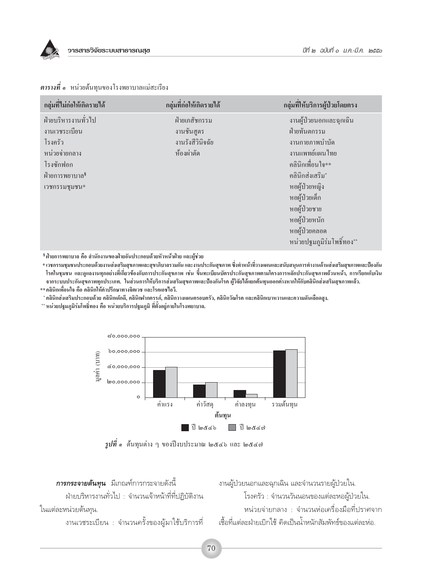

| กลุ่มที่ไม่ก่อให้เกิดรายได้ | กลุ่มที่ก่อให้เกิดรายได้ | กลุ่มที่ให้บริการผู้ป่วยโดยตรง |
|-----------------------------|--------------------------|--------------------------------|
| ฝ่ายบริหารงานทั่วไป         | ฝ่ายเภสัชกรรม            | งานผู้ป่วยนอกและฉุกเฉิน        |
| งานเวชระเบียน               | งานชั้นสูตร              | ฝ่ายทันตกรรม                   |
| โรงครัว                     | งานรังสีวินิจฉัย         | งานกายภาพบำบัด                 |
| หน่วยจ่ายกลาง               | ห้องผ่าตัด               | งานแพทย์แผนไทย                 |
| โรงซักฟอก                   |                          | คลินิกเพื่อนใจ**               |
| ฝ่ายการพยาบาล <sup>§</sup>  |                          | คลินิกส่งเสริม*                |
| เวชกรรมชุมชน*               |                          | หอผู้ป่วยหญิง                  |
|                             |                          | หอผู้ป่วยเด็ก                  |
|                             |                          | หอผู้ป่วยชาย                   |
|                             |                          | หอผู้ป่วยหนัก                  |
|                             |                          | หอผู้ป่วยคลอด                  |
|                             |                          | หน่วยปฐมภูมิร่มโพธิ์ทอง**      |

#### **ตารางที่ ๑** หน่วยต้นทุนของโรงพยาบาลแม่สะเรียง

<sup>8</sup> ฝ่ายการพยาบาล คือ สำนักงานของฝ่ายอันประกอบด้วยหัวหน้าฝ่าย และผู้ช่วย

\* เวชกรรมชุมชนประกอบด้วยงานส่งเสริมสุขภาพและสุขาภิบาลรวมกัน และงานประกันสุขภาพ ซึ่งทำหน้าที่วางแผนและสนับสนุนการทำงานด้านส่งเสริมสุขภาพและป้องกัน โรคในชุมชน และดูแลงานทุกอย่างที่เกี่ยวข้องกับการประกันสุขภาพ เช่น ขึ้นทะเบียนบัตรประกันสุขภาพตามโครงการหลักประกันสุขภาพถ้วนหน้า, การเรียกเก็บเงิน จากระบบประกันสุขภาพทุกประเภท. ในส่วนการให้บริการส่งเสริมสุขภาพและป้องกันโรค ผู้วิจัยได้แยกต้นทุนออกต่างหากให้กับคลินิกส่งเสริมสุขภาพแล้ว.

\*\* คลินิกเพื่อนใจ คือ คลินิกให้คำปรึกษาทางจิตเวช และโรคเอชไอวี.

\* คลินิกส่งเสริมประกอบด้วย คลินิกเด็กดี, คลินิกฝากครรภ์, คลินิกวางแผนครอบครัว, คลินิกวัณโรค และคลินิกเบาหวานและความดันเลือดสูง.

\*\* หน่วยปฐมภูมิร่มโพธิ์ทอง คือ หน่วยบริการปฐมภูมิ ที่ตั้งอยู่ภายในโรงพยาบาล.



 $\tilde{z}$ ปที่ ๑ ต้นทุนต่าง ๆ ของปีงบประมาณ ๒๕๔๖ และ ๒๕๔๗

**การกระจายต้นทุน** มีเกณฑ์การกระจายดังนี้ ฝ่ายบริหารงานทั่วไป : จำนวนเจ้าหน้าที่ที่ปฏิบัติงาน ในแต่ละหน่วยต้นทน.

งานเวชระเบียน : จำนวนครั้งของผู้มาใช้บริการที่

งานผู้ป่วยนอกและฉุกเฉิน และจำนวนรายผู้ป่วยใน. โรงครัว : จำนวนวันนอนของแต่ละหอผู้ป่วยใน. ้ หน่วยจ่ายกลาง : จำนวนห่อเครื่องมือที่ปราศจาก เชื้อที่แต่ละฝ่ายเบิกใช้ คิดเป็นน้ำหนักสัมพัทธ์ของแต่ละห่อ.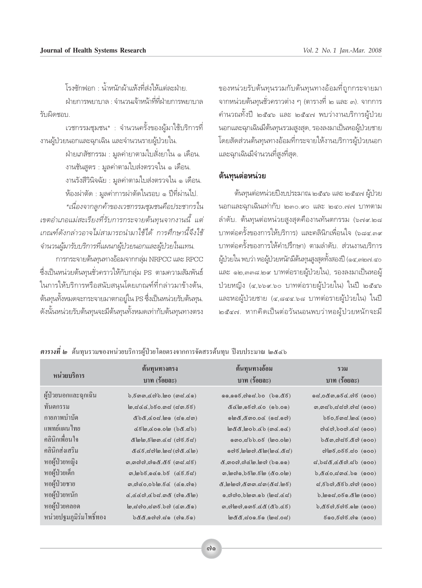์<br>โรงซักฟลก : น้ำหนักผ้าแห้งที่ส่งให้แต่ละฝ่าย ้ฝ่ายการพยาบาล : จำนวนเจ้าหน้าที่ที่ฝ่ายการพยาบาล รับเมิดชอบ

เวชกรรมชุมชน\* : จำนวนครั้งของผู้มาใช้บริการที่ งานผู้ป่วยนอกและฉุกเฉิน และจำนวนรายผู้ป่วยใน.

> ฝ่ายเภสัชกรรม : มูลค่ายาตามใบสั่งยาใน ๑ เดือน. งานชั้นสูตร : มูลค่าตามใบส่งตรวจใน ๑ เดือน. งานรังสีวินิจฉัย : มูลค่าตามใบส่งตรวจใน ๑ เดือน. ห้องผ่าตัด : มลค่าการผ่าตัดในรอบ ๑ ปีที่ผ่านไป.

\*เนื่องจากลูกค้าของเวชกรรมชุมชนคือประชากรใน เขตอำเภอแม่สะเรียงที่รับการกระจายต้นทุนจากงานนี้ แต่ เกณฑ์ดังกล่าวอาจไม่สามารถนำมาใช้ได้ การศึกษานี้จึงใช้ จำนวนผู้มารับบริการที่แผนกผู้ป่วยนอกและผู้ป่วยในแทน.

การกระจายต้นทุนทางอ้อมจากกลุ่ม NRPCC และ RPCC ซึ่งเป็นหน่วยต้นทุนชั่วคราวให้กับกลุ่ม PS ตามความสัมพันธ์ ในการให้บริการหรือสนับสนุนโดยเกณฑ์ที่กล่าวมาข้างต้น, ต้นทุนทั้งหมดจะกระจายมาตกอยู่ใน PS ซึ่งเป็นหน่วยรับต้นทุน. ดังนั้นหน่วยรับต้นทุนจะมีต้นทุนทั้งหมดเท่ากับต้นทุนทางตรง

ของหน่วยรับต้นทุนรวมกับต้นทุนทางอ้อมที่ถูกกระจายมา จากหน่วยต้นทุนชั่วคราวต่าง ๆ (ตารางที่ ๒ และ ๓). จากการ คำนวณทั้งปี ๒๕๔๖ และ ๒๕๔๗ พบว่างานบริการผู้ป่วย นอกและฉุกเฉินมีต้นทุนรวมสูงสุด, รองลงมาเป็นหอผู้ป่วยชาย โดยสัดส่วนต้นทุนทางอ้อมที่กระจายให้งานบริการผู้ป่วยนอก และฉุกเฉินมีจำนวนที่สูงที่สุด.

#### ต้นทุนต่อหน่วย

ต้นทุนต่อหน่วยปีงบประมาณ ๒๕๔๖ และ ๒๕๔๗ ผู้ป่วย นอกและฉุกเฉินเท่ากับ ๒๓๐.๙๐ และ ๒๔๐.๗๗ บาทตาม ลำดับ. ต้นทุนต่อหน่วยสูงสุดคืองานทันตกรรม (๖๗๙.๒๘ ้บาทต่อครั้งของการให้บริการ) และคลินิกเพื่อนใจ (๖๘๔.๓๙ บาทต่อครั้งของการให้คำปรึกษา) ตามลำดับ. ส่วนงานบริการ ผู้ป่วยใน พบว่า หอผู้ป่วยหนักมีต้นทุนสูงสุดทั้งสองปี (๑๔,๓๒๗.๔๐ และ ๑๒,๓๓๘.๒๙ บาทต่อรายผู้ป่วยใน), รองลงมาเป็นหอผู้ ป่วยหญิง (๔,๖๖๙.๖๐ บาทต่อรายผู้ป่วยใน) ในปี ๒๕๔๖ และหอผู้ป่วยชาย (๔,๘๔๔.๖๘ บาทต่อรายผู้ป่วยใน) ในปี ๒๕๔๗. หากคิดเป็นต่อวันนอนพบว่าหอผู้ป่วยหนักจะมี

| หน่วยบริการ             | ต์นทุนทางตรง<br>บาท (ร้อยละ)                                                                        | ต้นทุนทางอ้อม<br>บาท (ร้อยละ)                     | รวม<br>บาท (ร้อยละ)                                                                                         |
|-------------------------|-----------------------------------------------------------------------------------------------------|---------------------------------------------------|-------------------------------------------------------------------------------------------------------------|
| ผู้ป่วยนอกและฉุกเฉิน    | $b, \bar{b}$ ගා, $\alpha$ ෆ් $b.$ (ගය්, $\alpha$ ිං)                                                |                                                   | (600)                                                                                                       |
| ทันตกรรม                | $m, d \ll 0$ , $\delta$ $\delta$ o. $m \ll 1$ (don. $\delta \ll 1$ )                                |                                                   | <u>. ග. බය්ථ,යය්ගි.ගිය (</u> 000)                                                                           |
| กายภาพบ้าบัด            | (ds.d, ds.d)                                                                                        | $\omega$                                          | $b\bar{b}$ o, $\bar{b}$ ගය. $\alpha$ (000)                                                                  |
| แพทย์แผนไทย             | $(62.86)$ @0.000,@50                                                                                | $(\infty, \infty)$ රව.රට (ගණ්ඩාම                  | $od(\omega)$                                                                                                |
| คลินิกเพื่อนใจ          | ๕๒๒,๕๒๑.๔๘ (๗๕.๕๘)                                                                                  | (50, 60, 60)                                      | $b$ &ඹ,ෆ)ය $\bar{c}$ .&ෆ) (ඉoo)                                                                             |
| คลินิกส่งเสริม          | $\alpha$                                                                                            | ෧෨෮,෩෨෨෬෪෨(෨෮෭෮෬                                  | ၈) ಇತ್ತಿ.066.ನಂ                                                                                             |
| หอผู้ป่วยหญิง           | <i>ග,ගඟිග,ගියේ.රී</i> ද් (ගය.ය්ද්)                                                                  | ๕,෨๐๗,๗๔๒.๒๗ (๖๑.๑๑)                              |                                                                                                             |
| หอผู้ป่วยเด็ก           | $m, b$ b $\bar{c}, o$ co.bo (co. $\bar{c}$ )                                                        | ෨,\෨෯෧,�෪ඁ <sup>෦෨</sup> ,෪෨ (๕ඁ෮.෮෩              | $b, d$ co, $d$ mc. $b$ o (ooo)                                                                              |
| หอผู้ป่วยชาย            | $m, m$ &0,0b $m, \overline{6}$ & (&0.00)                                                            | &,[මුම් ති, අග ක. ස්ග (අස්. [මේරි                 | $\alpha$ ,ಕೆ $\delta$ ಂ),៥ಕೆ $\delta$ .೧)ಂ) (೧೦೦)                                                           |
| หอผู้ป่วยหนัก           | $\alpha$ , $\alpha$ $\alpha$ $\alpha$ , $\alpha$ bd. $\alpha$ & $\alpha$ ( $\alpha$ o, $\alpha$ lo) | ം,നിനിറ, $b$ ിമണ. $b$ ി (മഹി $c$ ഹി               | $b, \log d, o\bar{c}$ o. $\&\log$ (000)                                                                     |
| หอผู้ป่วยคลอด           | $\omega$ , ස්ග්o, ස්ගාරි. රග්) (රඟ. අග)                                                             | $m,$ ෆි ගේ, ගෙ $\vec{c}$ . (අර්. අර්. (අර්. අර්.) | $b, d \in \mathfrak{g}$ , $\delta$ $\mathfrak{g}$ , $\delta$ $\mathfrak{g}$ , $\delta$ $\mathfrak{g}$ (aoo) |
| หน่วยปฐมภูมิร่มโพธิ์ทอง | $b$ &&,ගෆ}ෆ}.යග (ෆ}ග. $5$ ග)                                                                        | $\omega$ ද්දී, ස්රග.ජිග (ම්ස්.රස්)                | $\mathfrak{g}_{\mathsf{QO}}, \mathfrak{g}_{\mathsf{QO}}$ $\mathfrak{g}_{\mathsf{QO}}$ (goo)                 |

*ตารางที่ ๒* ต้นทุนรวมของหน่วยบริการผู้ป่วยโดยตรงจากการจัดสรรด้นทุน ปีงบประมาณ ๒๕๔๖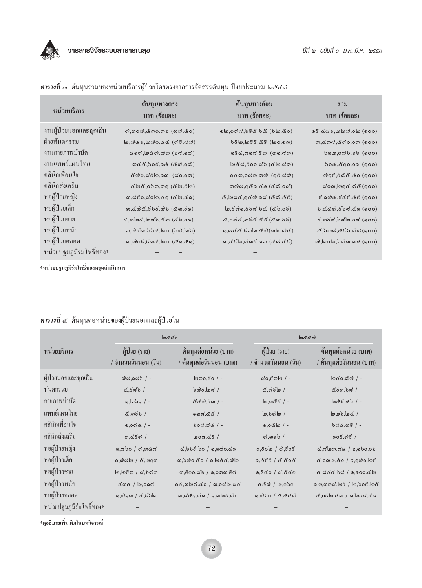

| หน่วยบริการ              | ต้นทุนทางตรง<br>บาท (ร้อยละ)                                                                            | ต้นทุนทางอ้อม<br>บาท (ร้อยละ)                                                                                                                                                | รวม<br>บาท (ร้อยละ)                                                                            |
|--------------------------|---------------------------------------------------------------------------------------------------------|------------------------------------------------------------------------------------------------------------------------------------------------------------------------------|------------------------------------------------------------------------------------------------|
| งานผู้ป่วยนอกและฉุกเฉิน  | $\omega$ , $\omega$ , $\alpha$ $\omega$ , $\alpha$ $\omega$ $\omega$ $\alpha$ $\alpha$ $\alpha$ $\beta$ | $($ ob.o $d$ d, $b$ $\in \mathcal{C}$ . $b$ de $\infty$ ( $b$ lo. $d$ o                                                                                                      | $(600)$ @ 0.000 (600)                                                                          |
| ฝ่ายทันตกรรม             |                                                                                                         | <b>b&amp;@,@&amp;&amp;</b> && (@o.@@)                                                                                                                                        | $m, d, m, d, d$ ി $o$ . $o, m$ ( $o$ $o$ $o$ )                                                 |
| งานกายภาพบำบัด           | $\sim$ 60), $\sim$ 6 $\sim$ 0). $\sim$ 6 $\sim$ 00)                                                     | $666, 666, 666$ $(99.60)$                                                                                                                                                    | $b$ <sup>o</sup> $e$ (000) $d$ ,000)                                                           |
| งานแพทย์แผนไทย           | $m$ ිරී, $b$ o $\bar{c}$ . දේ (රීෆි.ෆේ)                                                                 | $\omega$ & a, $\delta$ oo.ab ( $\alpha$ lo.am)                                                                                                                               | $b$ oc, $c$ oo.oo (000)                                                                        |
| ้คลินิกเพื่อนใจ          | $\&$ c)b, $\&$ ( $\&$ o.om $(\&$ o.om)                                                                  |                                                                                                                                                                              | $\omega$ ඉදි,ජිෆ්රී.ඊo (ඉංර)                                                                   |
| คลินิกส่งเสริม           | (අම්බී, රෝග, ගාල (අම්. ජම                                                                               | $mod, 0$ & $0.66$ (& $0.02$ )                                                                                                                                                | $\approx$ 000, 000 $\leq$ 00 $\approx$ (000)                                                   |
| หอผู้ป่วยหญิง            | $m, d, d$ o, $d$ olo.co (clo.co)                                                                        | $\mathcal{E}, \mathsf{Ind}\mathcal{L}, \mathsf{Mod}\mathcal{L}$ (& ෆ).අ $\mathcal{E}$                                                                                        | $(600)$ 52.565 $(600)$                                                                         |
| หอผู้ป่วยเด็ก            |                                                                                                         | $\omega$ , $\epsilon$ ო $\omega$ , $\epsilon$ , $\epsilon$ $\epsilon$ , $\epsilon$ (cb. $\epsilon$ )                                                                         | $b, d$ ៤៧, $\vec{c}$ $b$ ದ.៤๑ (๑๐๐)                                                            |
| หอผู้ป่วยชาย             | $(6, 0.6)$ (c) $(6, 0.6)$                                                                               | &,000&,෨෪ඁ&.&&(&෨.෪෪)                                                                                                                                                        | $(5, 0, 6)$ $(600)$                                                                            |
| หอผู้ป่วยหนัก            | ෨,ෆ්රි ෨,bbc. ෨o (bෆ). ෨b)                                                                              | $\sigma, \sigma \in \mathcal{C}, \sigma$ , $\sigma$ , $\sigma$ , $\sigma$ , $\sigma$ , $\sigma$ , $\sigma$ , $\sigma$ , $\sigma$ , $\sigma$ , $\sigma$ , $\sigma$ , $\sigma$ | $\alpha$ , $\beta$ $\alpha$ , $\alpha$ $\beta$ , $\alpha$ , $\beta$ ) ( $\alpha$ , $\alpha$ o) |
| หอผู้ป่วยคลอด            | $m,$ ෆි $\circ$ ල්,ල්ග $\alpha$ . ගල $(\alpha_0, \alpha_0)$                                             | ത, $\alpha$ $5$ ിയ,നിന $5.$ നെ ( $\alpha$ പ് $\alpha$ $\alpha$ $\delta$ )                                                                                                    | $\omega$ , bolo, $\omega$ and $\omega$ (000)                                                   |
| หน่วยปฐมภูมิร่มโพธิ์ทอง* |                                                                                                         |                                                                                                                                                                              |                                                                                                |

ี <mark>ตารางที่</mark> ๑ ค้นทุนรวมของหน่วยบริการผู้ป่วยโดยตรงจากการจัดสรรค้นทุน ปีงบประมาณ ๒๕๔๗

\*หน่วยปฐมภูมิร่มโพธิ์ทองหยุดดำเนินการ

 $\overline{1}$ 

| ี <b>ตารางที่ ๔</b> ต้นทุนต่อหน่วยของผู้ป่วยนอกและผู้ป่วยใน |  |
|-------------------------------------------------------------|--|
|                                                             |  |

|                          | $\mathbb{R}$ &                         |                                                                                                                                             | bccc                                                       |                                                                       |
|--------------------------|----------------------------------------|---------------------------------------------------------------------------------------------------------------------------------------------|------------------------------------------------------------|-----------------------------------------------------------------------|
| หน่วยบริการ              | ผู้ป่วย (ราย)<br>/ จำนวนวันนอน (วัน)   | ต้นทุนต่อหน่วย (บาท)<br>/ ต้นทุนต่อวันนอน (บาท)                                                                                             | ผู้ป่วย (ราย)<br>/ จำนวนวันนอน (วัน)                       | ต้นทุนต่อหน่วย (บาท)<br>/ ต้นทุนต่อวันนอน (บาท)                       |
| ผู้ป่วยนอกและฉุกเฉิน     | $od.063$ / -                           | $\omega$ 00. $50$ / -                                                                                                                       | $d$ o, $\bar{c}$ onlo / -                                  | $\log$ 0.000) / -                                                     |
| ทันตกรรม                 | $6,58$ / -                             | $\cdot$ ) ವಾದ / -                                                                                                                           | &,ෆ}ළි $\sim$ / -                                          | & දිග. b ය / -                                                        |
| กายภาพบำบัด              | $0, \omega$ bo / -                     | $\alpha$ α $\alpha$ . $\epsilon$ $\alpha$ / -                                                                                               | $\omega$ ,ගාරී $\epsilon$ / -                              | $ 685.6$                                                              |
| แพทย์แผนไทย              | ๕,෨෪๖ / -                              | o md. & & / -                                                                                                                               | $\ln 2$                                                    | $-1$ be $\frac{1}{2}$                                                 |
| คลินิกเพื่อนใจ           | $0,0000$ /-                            | $30a$ . $0d$ / -                                                                                                                            | $0,0$ රික් / -                                             | $bdc.mf$ / -                                                          |
| คลินิกส่งเสริม           | $m,$ ഭ $\epsilon$ ി / -                | $\log_{10}(66)$ -                                                                                                                           | $\omega$ , $\omega$ ob / -                                 | $006.06$ / -                                                          |
| หอผู้ป่วยหญิง            | $0,$ 200 / $0,$ $0.0$                  |                                                                                                                                             | $\circ$ , $\circ$ o $\circ$ / $\circ$ ), $\circ$ o $\circ$ | $\alpha, \alpha$ lom. $\alpha \alpha$ / 0,000.00                      |
| หอผู้ป่วยเด็ก            | $\circ$ ,ෆිය් $\circ$ / අ,් $\circ$ ගෙ | ෨,෮෨෮෭෫෮ / ෧,๒๕๔.๗๒                                                                                                                         | ೂ,ಜಿಕಕ / ಜಿ,ಜಿಂ <i>ಜಿ</i>                                  | $\alpha$ , omlo. $\alpha$ o / ๑,๑๓)๑. log                             |
| หอผู้ป่วยชาย             | $\ln \log \sigma / \sigma$ , balan     | $m, \bar{\epsilon}$ ඉo.ය $b / g,$ o ගා $m, \bar{\epsilon}$ ෆ                                                                                | 0.560 / 7.860                                              | $6.566.55$ / $0.0006$                                                 |
| หอผู้ป่วยหนัก            | Cone / lo, oon                         | ବଙ୍ଗାରୀ. <o td="" ୩,୦๘ାର.ଝଙ୍<=""><td><math>d</math>&amp;a) / <math>\omega</math>, <math>\omega</math></td><td>෧๒,෨෨๘.๒๕ / ๒,๖๐๕.๒๕</td></o> | $d$ &a) / $\omega$ , $\omega$                              | ෧๒,෨෨๘.๒๕ / ๒,๖๐๕.๒๕                                                  |
| หอผู้ป่วยคลอด            | ெலினெ / டூ.5் $\mathsf{b}$             |                                                                                                                                             | $0,$ ගිර් / රෑ.රෑගි                                        | $\alpha$ , o $\beta$ lo $\alpha$ (a) $\beta$ (a) $\beta$ (a) $\alpha$ |
| หน่วยปฐมภูมิร่มโพธิ์ทอง* |                                        |                                                                                                                                             |                                                            |                                                                       |

\*ดูอธิบายเพิ่มเติมในบทวิจารณ์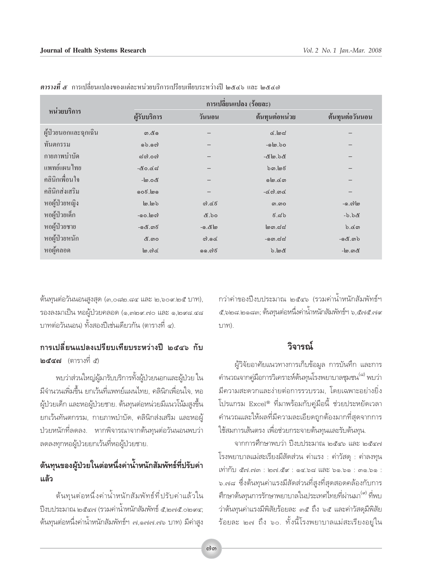|                      | การเปลี่ยนแปลง (ร้อยละ)   |          |                            |                 |
|----------------------|---------------------------|----------|----------------------------|-----------------|
| หน่วยบริการ          | ผู้รับบริการ              | วันนอน   | ต้นทุนต่อหน่วย             | ต้นทุนต่อวันนอน |
| ผู้ป่วยนอกและฉุกเฉิน | ග.໕ඉ                      |          | $d$ .lod                   |                 |
| ทันตกรรม             | 0.00                      |          | $-$ ெ)                     |                 |
| กายภาพบำบัด          | $\approx$ റി.ററി          |          | ත් ර. මු නී-               |                 |
| แพทย์แผนไทย          | -៥೦.៤ನ                    |          | $b$ <i>ດ</i> , ໄຫ <i>ຣ</i> |                 |
| คลินิกเพื่อนใจ       | -්ග.ර                     |          | நெ.வ                       |                 |
| คลินิกส่งเสริม       | லை நிலை                   |          | $-\infty$ നി.ന $\infty$    |                 |
| หอผู้ป่วยหญิง        | lo.lob                    | ೧).៤៩    | ை.0                        | -.െറി ി         |
| หอผู้ป่วยเด็ก        | -00.  ගේ                  | &.bo     | ಕೆ.ನಶ                      | $-6.6$ &        |
| หอผู้ป่วยชาย         | -෧๕.෨෪                    | - ෙ. ๕ ๒ | $\omega$ ຓ.໔໔              | $b.$ ແຫ         |
| หอผู้ป่วยหนัก        | &.ග0                      | $G$ . oc | -ೂದದ                       | $-$ ගයී.ගාර්    |
| หอผู้คลอด            | ി $\omega$ .നി $\epsilon$ | ෧෧.๗ඁ෪   | $b.\omega c$               | -[ග.ගය          |

*ตารางที่ ๕* การเปลี่ยนแปลงของแต่ละหน่วยบริการเปรียบเทียบระหว่างปี ๒๕๔๖ และ ๒๕๔๗

ู้ต้นทุนต่อวันนอนสูงสุด (๓,๐๘๒.๘๔ และ ๒,๖๐๙.๒๕ บาท), ัรองลงมาเป็น หอผู้ป่วยคลอด (๑,๓๒๙.๓๐ และ ๑,๒๙๘.๔๘ ิ บาทต่อวันนอน) ทั้งสองปีเช่นเดียวกัน (ตารางที่ ๔).

## ึการเปลี่ยนแปลงเปรียบเทียบระหว่างปี ๒๕๔๖ กับ **๒๕๔๗** (ตารางที่ ๕)

พบว่าส่วนใหญ่ผู้มารับบริการทั้งผู้ป่วยนอกและผู้ป่วย ใน ู้มีจำนวนเพิ่มขึ้น ยกเว้นที่แพทย์แผนไทย, คลินิกเพื่อนใจ, หอ ู<br>ผู้ป่วยเด็ก และหอผู้ป่วยชาย. ต้นทุนต่อหน่วยมีแนวโน้มสูงขึ้น ยกเว้นทันตกรรม, กายภาพบำบัด, คลินิกส่งเสริม และหอผู้ ิ ป่วยหนักที่ลดลง. หากพิจารณาจากต้นทุนต่อวันนอนพบว่า ลดลงทุกหอผู้ป่วยยกเว้นที่หอผู้ป่วยชาย.

# ้ต้นทุนของผู้ป่วยในต่อหนึ่งค่าน้ำหนักสัมพัทธ์ที่ปรับค่า **·≈â«**

์<br>ต้นทนต่อหนึ่งค่าน้ำหนักสัมพัทธ์ที่ปรับค่าแล้วใน ªïß∫ª√–¡"≥ ÚıÙ˜ (√«¡§à"πÈ"Àπ—° —¡æ—∑∏å ı,Ú˜ı.Ú˘Ù; ู้ต้นทุนต่อหนึ่งค่าน้ำหนักสัมพัทธ์์ฯ ๗,๑๗๗.๗๖ บาท) มีค่าสูง กว่าค่าของปิ่งบประมาณ ๒๕๔๖ (รวมค่าน้ำหนักสัมพัทธ์ฯ ึ้ะ,๖๒๘.๒๑๘๓; ต้นทุนต่อหนึ่งค่าน้ำหนักสัมพัทธ์ฯ ๖,๕๗๕.๗๙  $111$  $11)$ .

## ์วิจารณ์

ผู้วิจัยอาศัยแนวทางการเก็บข้อมูล การบันทึก และการ คำนวณจากคู่มือการวิเคราะห์ต้นทุนโรงพยาบาลชุมชน<sup>(๘)</sup> พบว่า ู้มีความสะดวกและง่ายต่อการรวบรวม. โดยเฉพาะอย่างยิ่ง ์โปรแกรม Excel® ที่มาพร้อมกับคู่มือนี้ ช่วยประหยัดเวลา ึ คำนวณและให้ผลที่มีความละเอียดถูกต้องมากที่สุดจากการ ใช้สมการเส้นตรง เพื่อช่วยกระจายต้นทุนและรับต้นทุน.

จากการศึกษาพบว่า ปิ่งบประมาณ ๒๕๔๖ และ ๒๕๔๗ ์โรงพยาบาลแม่สะเรียงมีสัดส่วน ค่าแรง : ค่าวัสดุ : ค่าลงทุน  $\frac{1}{2}$ ๖.๗๘ ซึ่งต้นทุนค่าแรงมีสัดส่วนที่สูงที่สุดสอดคล้องกับการ ้ศึกษาต้นทนการรักษาพยาบาลในประเทศไทยที่ผ่านมา<sup>(∝)</sup> ที่พบ ว่าต้นทุนค่าแรงมีพิสัยร้อยละ ๓๕ ถึง ๖๕ และค่าวัสดุมีพิสัย ,<br>ร้อยละ ๒๗ ถึง ๖๐. ทั้งนี้โรงพยาบาลแม่สะเรียงอยู่ใน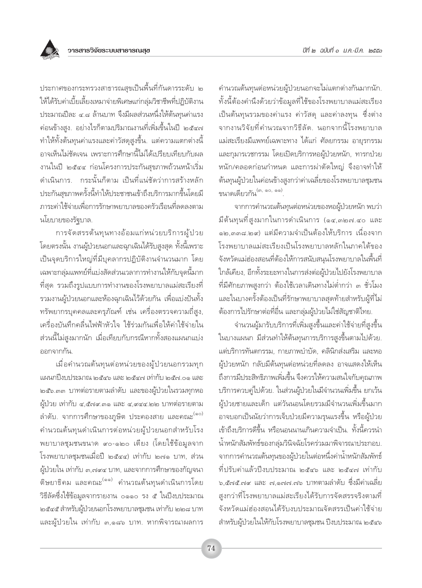

ประกาศของกระทรวงสาธารณสุขเป็นพื้นที่กันดารระดับ ๒ ให้ได้รับค่าเบี้ยเลี้ยงเหมาจ่ายพิเศษแก่กลุ่มวิชาชีพที่ปฏิบัติงาน ประมาณปีละ ๔.๘ ล้านบาท จึงมีผลส่วนหนึ่งให้ต้นทุนค่าแรง ้ค่อนข้างสูง. อย่างไรก็ตามปริมาณงานที่เพิ่มขึ้นในปี ๒๕๔๗ ทำให้ทั้งต้นทุนค่าแรงและค่าวัสดุสูงขึ้น. แต่ความแตกต่างนี้ อาจเห็นไม่ชัดเจน เพราะการศึกษานี้ไม่ได้เปรียบเทียบกับผล งานในปี ๒๕๔๔ ก่อนโครงการประกันสขภาพถ้วนหน้าเริ่ม ดำเนินการ. กระนั้นก็ตาม เป็นที่แน่ชัดว่าการสร้างหลัก ประกันสขภาพครั้งนี้ทำให้ประชาชนเข้าถึงบริการมากขึ้นโดยมี ภาระค่าใช้จ่ายเพื่อการรักษาพยาบาลของครัวเรือนที่ลดลงตาม นโยบายของรัฐบาล.

การจัดสรรต้นทุนทางอ้อมแก่หน่วยบริการผู้ป่วย โดยตรงนั้น งานผู้ป่วยนอกและฉุกเฉินได้รับสูงสุด ทั้งนี้เพราะ เป็นจุดบริการใหญ่ที่มีบุคลากรปฏิบัติงานจำนวนมาก โดย เฉพาะกลุ่มแพทย์ที่แบ่งสัดส่วนเวลาการทำงานให้กับจุดนี้มาก ที่สุด รวมถึงรูปแบบการทำงานของโรงพยาบาลแม่สะเรียงที่ รวมงานผู้ป่วยนอกและห้องฉุกเฉินไว้ด้วยกัน เพื่อแบ่งปันทั้ง ทรัพยากรบุคคลและครุภัณฑ์ เช่น เครื่องตรวจความถี่สูง, เครื่องบันทึกคลื่นไฟฟ้าหัวใจ ใช้ร่วมกันเพื่อให้ค่าใช้จ่ายใน ้ส่วนนี้ไม่สูงมากนัก เมื่อเทียบกับกรณีหากทั้งสองแผนกแบ่ง ออกจากกัน.

เมื่อคำนวณต้นทุนต่อหน่วยของผู้ป่วยนอกรวมทุก แผนกปี่งบบระมาณ ๒๕๔๖ และ ๒๕๔๗ เท่ากับ ๒๕๗ ๐๑ และ ้๒๕๖.๓๓ บาทต่อรายตามลำดับ และของผู้ป่วยในรวมทุกหอ ผู้ป่วย เท่ากับ ๔,๕๗๙.๓๑ และ ๔,๙๔๔.๒๒ บาทต่อรายตาม ลำดับ. จากการศึกษาของภูษิต ประคองสาย และคณะ<sup>(๑๐)</sup> คำนวณต้นทุนดำเนินการต่อหน่วยผู้ป่วยนอกสำหรับโรง พยาบาลชุมชนขนาด ๙๐-๑๒๐ เตี้ยง (โดยใช้ข้อมูลจาก โรงพยาบาลชุมชนเมื่อปี ๒๕๔๔) เท่ากับ ๒๗๑ บาท, ส่วน ผู้ป่วยใน เท่ากับ ๓,๗๙๔ บาท, และจากการศึกษาของกัญจนา ์ติษยาธิคม และคณะ<sup>(๑๑)</sup> คำนวณต้นทุนดำเนินการโดย วิธีลัดซึ่งใช้ข้อมูลจากรายงาน ๐๑๑๐ รง ๕ ในปีงบประมาณ ๒๕๔๕ สำหรับผู้ป่วยนอกโรงพยาบาลชุมชน เท่ากับ ๒๒๘ บาท และผู้ป่วยใน เท่ากับ ๓,๑๘๖ บาท. หากพิจารณาผลการ

คำนวณต้นทุนต่อหน่วยผู้ป่วยนอกจะไม่แตกต่างกันมากนัก. ้ทั้งนี้ต้องคำนึงด้วยว่าข้อมูลที่ใช้ของโรงพยาบาลแม่สะเรียง เป็นต้นทุนรวมของค่าแรง ค่าวัสดุ และค่าลงทุน ซึ่งต่าง จากงานวิจัยที่คำนวณจากวิธีลัด. นอกจากนี้โรงพยาบาล แม่สะเรียงมีแพทย์เฉพาะทาง ได้แก่ ศัลยกรรม อายุรกรรม และกุมารเวชกรรม โดยเปิดบริการหอผู้ป่วยหนัก, ทารกป่วย หนัก/คลอดก่อนกำหนด และการผ่าตัดใหญ่ จึงอาจทำให้ ต้นทุนผู้ป่วยในค่อนข้างสูงกว่าค่าเฉลี่ยของโรงพยาบาลชุมชน ขนาดเดี่ยวกัน<sup>(๓, ๑๐, ๑๑)</sup>

จากการคำนวณต้นทุนต่อหน่วยของหอผู้ป่วยหนัก พบว่า ้มีต้นทุนที่สูงมากในการดำเนินการ (๑๔,๓๒๗.๔๐ และ ๑๒.๓๓๘.๒๙) แต่มีความจำเป็นต้องให้บริการ เนื่องจาก โรงพยาบาลแม่สะเรียงเป็นโรงพยาบาลหลักในภาคใต้ของ จังหวัดแม่ฮ่องสอนที่ต้องให้การสนับสนนโรงพยาบาลในพื้นที่ ใกล้เคียง, อีกทั้งระยะทางในการส่งต่อผู้ป่วยไปยังโรงพยาบาล ้ที่มีศักยภาพสูงกว่า ต้องใช้เวลาเดินทางไม่ต่ำกว่า ๓ ชั่วโมง และในบางครั้งต้องเป็นที่รักษาพยาบาลสุดท้ายสำหรับผู้ที่ไม่ ้ต้องการไปรักษาต่อที่อื่น และกลุ่มผู้ป่วยไม่ใช่สัญชาติไทย.

จำนวนผู้มารับบริการที่เพิ่มสูงขึ้นและค่าใช้จ่ายที่สูงขึ้น ในบางแผนก มีส่วนทำให้ต้นทุนการบริการสูงขึ้นตามไปด้วย. แต่บริการทันตกรรม, กายภาพบำบัด, คลินิกส่งเสริม และหอ ผู้ป่วยหนัก กลับมีต้นทุนต่อหน่วยที่ลดลง อาจแสดงให้เห็น ถึงการมีประสิทธิภาพเพิ่มขึ้น จึงควรให้ความสนใจกับคุณภาพ ้บริการควบคู่ไปด้วย. ในส่วนผู้ป่วยในมีจำนวนเพิ่มขึ้น ยกเว้น ผู้ป่วยชายและเด็ก แต่วันนอนโดยรวมมีจำนวนเพิ่มขึ้นมาก ้อาจบอกเป็นนัยว่าการเจ็บป่วยมีความรุนแรงขึ้น หรือผู้ป่วย เข้าถึงบริการดีขึ้น หรือนอนนานเกินความจำเป็น. ทั้งนี้ควรนำ น้ำหนักสัมพัทธ์ของกลุ่มวินิจฉัยโรคร่วมมาพิจารณาประกอบ. จากการคำนวณต้นทุนของผู้ป่วยในต่อหนึ่งค่าน้ำหนักสัมพัทธ์ ที่ปรับค่าแล้วปีงบประมาณ ๒๕๔๖ และ ๒๕๔๗ เท่ากับ ๖,๕๗๕.๗๙ และ ๗,๑๗๗.๗๖ บาทตามลำดับ ซึ่งมีค่าเฉลี่ย สูงกว่าที่โรงพยาบาลแม่สะเรียงได้รับการจัดสรรจริงตามที่ จังหวัดแม่ฮ่องสอนได้รับงบประมาณจัดสรรเป็นค่าใช้จ่าย สำหรับผู้ป่วยในให้กับโรงพยาบาลชุมชน ปีงบประมาณ ๒๕๔๖